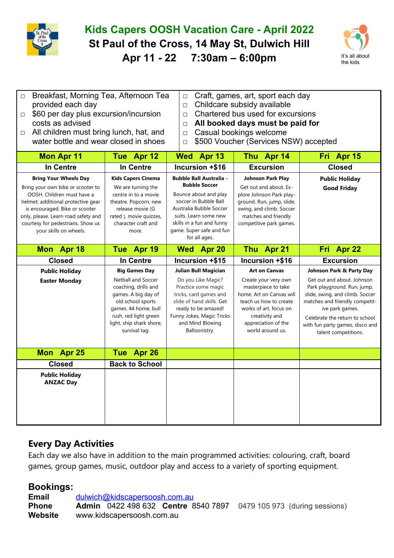

## **Kids Capers OOSH Vacation Care - April 2022 St Paul of the Cross, 14 May St, Dulwich Hill Apr 11 - 22 7:30am – 6:00pm** It's all about



| □ Breakfast, Morning Tea, Afternoon Tea      | $\Box$ Craft, games, art, sport each day |
|----------------------------------------------|------------------------------------------|
| provided each day                            | $\Box$ Childcare subsidy available       |
| $\Box$ \$60 per day plus excursion/incursion | $\Box$ Chartered bus used for excursions |
| costs as advised                             | $\Box$ All booked days must be paid for  |

- □ All children must bring lunch, hat, and water bottle and wear closed in shoes
- □ Casual bookings welcome
- □ \$500 Voucher (Services NSW) accepted

| <b>Mon Apr 11</b>                                                                                                                                                                                                                                                             | Tue Apr 12                                                                                                                                                                                                          | Wed Apr 13                                                                                                                                                                                                                             | Thu Apr 14                                                                                                                                                                                                       | Fri Apr 15                                                                                                                                                                                                                                                                 |  |
|-------------------------------------------------------------------------------------------------------------------------------------------------------------------------------------------------------------------------------------------------------------------------------|---------------------------------------------------------------------------------------------------------------------------------------------------------------------------------------------------------------------|----------------------------------------------------------------------------------------------------------------------------------------------------------------------------------------------------------------------------------------|------------------------------------------------------------------------------------------------------------------------------------------------------------------------------------------------------------------|----------------------------------------------------------------------------------------------------------------------------------------------------------------------------------------------------------------------------------------------------------------------------|--|
| <b>In Centre</b>                                                                                                                                                                                                                                                              | In Centre                                                                                                                                                                                                           | Incursion +\$16                                                                                                                                                                                                                        | <b>Excursion</b>                                                                                                                                                                                                 | <b>Closed</b>                                                                                                                                                                                                                                                              |  |
| <b>Bring Your Wheels Day</b><br>Bring your own bike or scooter to<br>OOSH. Children must have a<br>helmet; additional protective gear<br>is encouraged. Bike or scooter<br>only, please. Learn road safety and<br>courtesy for pedestrians. Show us<br>your skills on wheels. | <b>Kids Capers Cinema</b><br>We are turning the<br>centre in to a movie<br>theatre. Popcorn, new<br>release movie (G<br>rated), movie quizzes,<br>character craft and<br>more.                                      | <b>Bubble Ball Australia -</b><br><b>Bubble Soccer</b><br>Bounce about and play<br>soccer in Bubble Ball<br>Australia Bubble Soccer<br>suits. Learn some new<br>skills in a fun and funny<br>game. Super safe and fun<br>for all ages. | <b>Johnson Park Play</b><br>Get out and about. Ex-<br>plore Johnson Park play-<br>ground. Run, jump, slide,<br>swing, and climb. Soccer<br>matches and friendly<br>competitive park games.                       | <b>Public Holiday</b><br><b>Good Friday</b>                                                                                                                                                                                                                                |  |
| Mon Apr 18                                                                                                                                                                                                                                                                    | Tue Apr 19                                                                                                                                                                                                          | Wed Apr 20                                                                                                                                                                                                                             | Thu Apr 21                                                                                                                                                                                                       | Fri Apr 22                                                                                                                                                                                                                                                                 |  |
| <b>Closed</b>                                                                                                                                                                                                                                                                 | In Centre                                                                                                                                                                                                           | Incursion +\$15                                                                                                                                                                                                                        | Incursion +\$16                                                                                                                                                                                                  | <b>Excursion</b>                                                                                                                                                                                                                                                           |  |
| <b>Public Holiday</b><br><b>Easter Monday</b>                                                                                                                                                                                                                                 | <b>Big Games Day</b><br><b>Netball and Soccer</b><br>coaching, drills and<br>games. A big day of<br>old school sports<br>games. 44 home, bull<br>rush, red light green<br>light, ship shark shore,<br>survival tag. | <b>Julian Bull Magician</b><br>Do you Like Magic?<br>Practice some magic<br>tricks, card games and<br>slide of hand skills. Get<br>ready to be amazed!<br>Funny Jokes, Magic Tricks<br>and Mind Blowing<br>Balloonistry.               | <b>Art on Canvas</b><br>Create your very own<br>masterpiece to take<br>home. Art on Canvas will<br>teach us how to create<br>works of art, focus on<br>creativity and<br>appreciation of the<br>world around us. | Johnson Park & Party Day<br>Get out and about. Johnson<br>Park playground. Run, jump,<br>slide, swing, and climb. Soccer<br>matches and friendly competit-<br>ive park games.<br>Celebrate the return to school<br>with fun party games, disco and<br>talent competitions. |  |
| Mon Apr 25                                                                                                                                                                                                                                                                    | Tue Apr 26                                                                                                                                                                                                          |                                                                                                                                                                                                                                        |                                                                                                                                                                                                                  |                                                                                                                                                                                                                                                                            |  |
| <b>Closed</b>                                                                                                                                                                                                                                                                 | <b>Back to School</b>                                                                                                                                                                                               |                                                                                                                                                                                                                                        |                                                                                                                                                                                                                  |                                                                                                                                                                                                                                                                            |  |
| <b>Public Holiday</b><br><b>ANZAC Day</b>                                                                                                                                                                                                                                     |                                                                                                                                                                                                                     |                                                                                                                                                                                                                                        |                                                                                                                                                                                                                  |                                                                                                                                                                                                                                                                            |  |

## **Every Day Activities**

Each day we also have in addition to the main programmed activities: colouring, craft, board games, group games, music, outdoor play and access to a variety of sporting equipment.

## **Bookings:**

**Email** [dulwich@kidscapersoosh.com.au](mailto:dulwich@kidscapersoosh.com.au) **Phone Admin** 0422 498 632 **Centre** 8540 7897 0479 105 973 (during sessions) **Website** www.kidscapersoosh.com.au